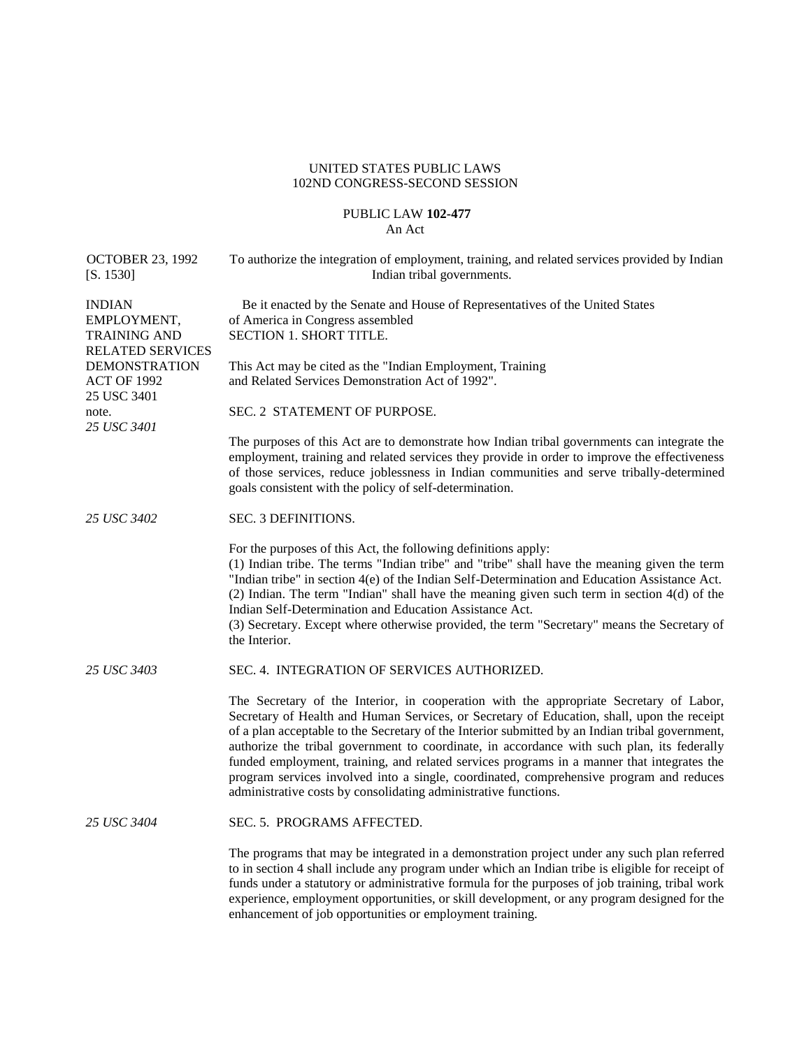# UNITED STATES PUBLIC LAWS 102ND CONGRESS-SECOND SESSION

## PUBLIC LAW **102-477** An Act

| <b>OCTOBER 23, 1992</b><br>[S. 1530]                                           | To authorize the integration of employment, training, and related services provided by Indian<br>Indian tribal governments.                                                                                                                                                                                                                                                                                                                                                                                                                                                                                                                       |
|--------------------------------------------------------------------------------|---------------------------------------------------------------------------------------------------------------------------------------------------------------------------------------------------------------------------------------------------------------------------------------------------------------------------------------------------------------------------------------------------------------------------------------------------------------------------------------------------------------------------------------------------------------------------------------------------------------------------------------------------|
| <b>INDIAN</b><br>EMPLOYMENT,<br><b>TRAINING AND</b><br><b>RELATED SERVICES</b> | Be it enacted by the Senate and House of Representatives of the United States<br>of America in Congress assembled<br>SECTION 1. SHORT TITLE.                                                                                                                                                                                                                                                                                                                                                                                                                                                                                                      |
| <b>DEMONSTRATION</b><br>ACT OF 1992<br>25 USC 3401                             | This Act may be cited as the "Indian Employment, Training<br>and Related Services Demonstration Act of 1992".                                                                                                                                                                                                                                                                                                                                                                                                                                                                                                                                     |
| note.<br>25 USC 3401                                                           | SEC. 2 STATEMENT OF PURPOSE.                                                                                                                                                                                                                                                                                                                                                                                                                                                                                                                                                                                                                      |
|                                                                                | The purposes of this Act are to demonstrate how Indian tribal governments can integrate the<br>employment, training and related services they provide in order to improve the effectiveness<br>of those services, reduce joblessness in Indian communities and serve tribally-determined<br>goals consistent with the policy of self-determination.                                                                                                                                                                                                                                                                                               |
| 25 USC 3402                                                                    | <b>SEC. 3 DEFINITIONS.</b>                                                                                                                                                                                                                                                                                                                                                                                                                                                                                                                                                                                                                        |
|                                                                                | For the purposes of this Act, the following definitions apply:<br>(1) Indian tribe. The terms "Indian tribe" and "tribe" shall have the meaning given the term<br>"Indian tribe" in section $4(e)$ of the Indian Self-Determination and Education Assistance Act.<br>(2) Indian. The term "Indian" shall have the meaning given such term in section 4(d) of the<br>Indian Self-Determination and Education Assistance Act.<br>(3) Secretary. Except where otherwise provided, the term "Secretary" means the Secretary of<br>the Interior.                                                                                                       |
| 25 USC 3403                                                                    | SEC. 4. INTEGRATION OF SERVICES AUTHORIZED.                                                                                                                                                                                                                                                                                                                                                                                                                                                                                                                                                                                                       |
|                                                                                | The Secretary of the Interior, in cooperation with the appropriate Secretary of Labor,<br>Secretary of Health and Human Services, or Secretary of Education, shall, upon the receipt<br>of a plan acceptable to the Secretary of the Interior submitted by an Indian tribal government,<br>authorize the tribal government to coordinate, in accordance with such plan, its federally<br>funded employment, training, and related services programs in a manner that integrates the<br>program services involved into a single, coordinated, comprehensive program and reduces<br>administrative costs by consolidating administrative functions. |
| <i>25 USC 3404</i>                                                             | SEC. 5. PROGRAMS AFFECTED.                                                                                                                                                                                                                                                                                                                                                                                                                                                                                                                                                                                                                        |
|                                                                                | The programs that may be integrated in a demonstration project under any such plan referred<br>to in section 4 shall include any program under which an Indian tribe is eligible for receipt of<br>funds under a statutory or administrative formula for the purposes of job training, tribal work<br>experience, employment opportunities, or skill development, or any program designed for the<br>enhancement of job opportunities or employment training.                                                                                                                                                                                     |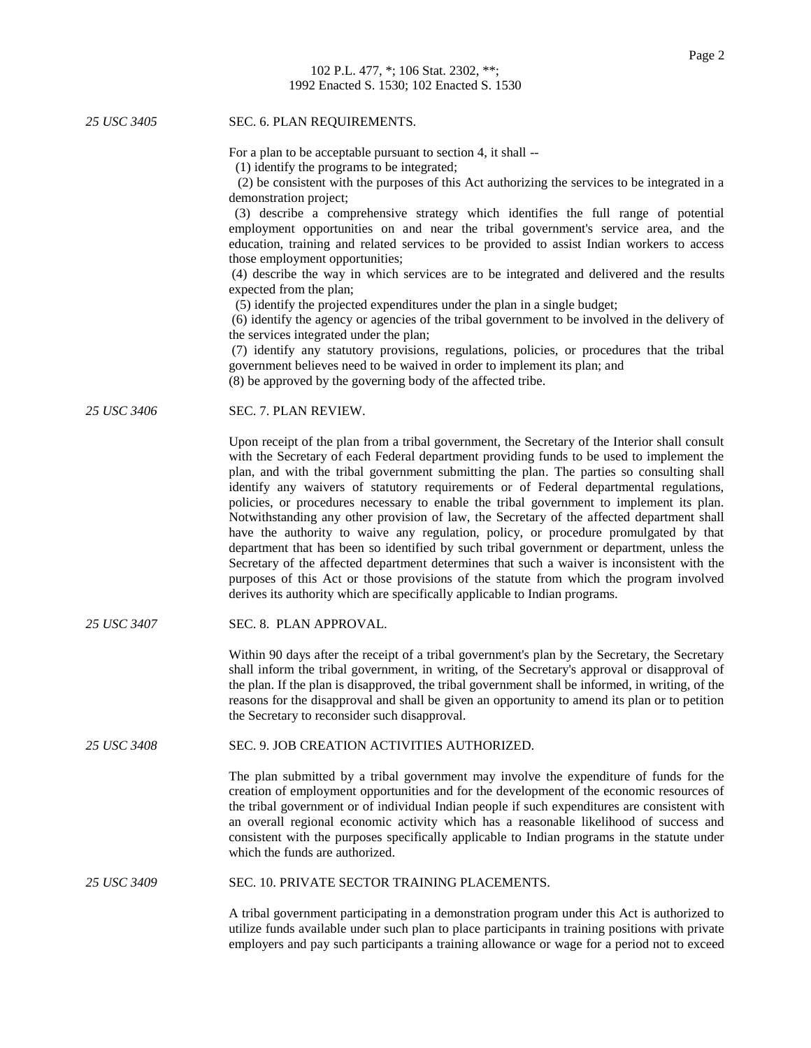| 25 USC 3405 | SEC. 6. PLAN REQUIREMENTS.                                                                                                                                                                                                                                                                                                                                                                                                                                                                                                                                                                                                                                                                                                                                                                                                                                                                                                                                                                                                                                                                                                                            |
|-------------|-------------------------------------------------------------------------------------------------------------------------------------------------------------------------------------------------------------------------------------------------------------------------------------------------------------------------------------------------------------------------------------------------------------------------------------------------------------------------------------------------------------------------------------------------------------------------------------------------------------------------------------------------------------------------------------------------------------------------------------------------------------------------------------------------------------------------------------------------------------------------------------------------------------------------------------------------------------------------------------------------------------------------------------------------------------------------------------------------------------------------------------------------------|
|             | For a plan to be acceptable pursuant to section 4, it shall --<br>(1) identify the programs to be integrated;<br>(2) be consistent with the purposes of this Act authorizing the services to be integrated in a<br>demonstration project;<br>(3) describe a comprehensive strategy which identifies the full range of potential<br>employment opportunities on and near the tribal government's service area, and the<br>education, training and related services to be provided to assist Indian workers to access<br>those employment opportunities;<br>(4) describe the way in which services are to be integrated and delivered and the results<br>expected from the plan;<br>(5) identify the projected expenditures under the plan in a single budget;<br>(6) identify the agency or agencies of the tribal government to be involved in the delivery of<br>the services integrated under the plan;<br>(7) identify any statutory provisions, regulations, policies, or procedures that the tribal<br>government believes need to be waived in order to implement its plan; and<br>(8) be approved by the governing body of the affected tribe. |
| 25 USC 3406 | SEC. 7. PLAN REVIEW.                                                                                                                                                                                                                                                                                                                                                                                                                                                                                                                                                                                                                                                                                                                                                                                                                                                                                                                                                                                                                                                                                                                                  |
|             | Upon receipt of the plan from a tribal government, the Secretary of the Interior shall consult<br>with the Secretary of each Federal department providing funds to be used to implement the<br>plan, and with the tribal government submitting the plan. The parties so consulting shall<br>identify any waivers of statutory requirements or of Federal departmental regulations,<br>policies, or procedures necessary to enable the tribal government to implement its plan.<br>Notwithstanding any other provision of law, the Secretary of the affected department shall<br>have the authority to waive any regulation, policy, or procedure promulgated by that<br>department that has been so identified by such tribal government or department, unless the<br>Secretary of the affected department determines that such a waiver is inconsistent with the<br>purposes of this Act or those provisions of the statute from which the program involved<br>derives its authority which are specifically applicable to Indian programs.                                                                                                           |
| 25 USC 3407 | SEC. 8. PLAN APPROVAL.                                                                                                                                                                                                                                                                                                                                                                                                                                                                                                                                                                                                                                                                                                                                                                                                                                                                                                                                                                                                                                                                                                                                |
|             | Within 90 days after the receipt of a tribal government's plan by the Secretary, the Secretary<br>shall inform the tribal government, in writing, of the Secretary's approval or disapproval of<br>the plan. If the plan is disapproved, the tribal government shall be informed, in writing, of the<br>reasons for the disapproval and shall be given an opportunity to amend its plan or to petition<br>the Secretary to reconsider such disapproval.                                                                                                                                                                                                                                                                                                                                                                                                                                                                                                                                                                                                                                                                                               |
| 25 USC 3408 | SEC. 9. JOB CREATION ACTIVITIES AUTHORIZED.                                                                                                                                                                                                                                                                                                                                                                                                                                                                                                                                                                                                                                                                                                                                                                                                                                                                                                                                                                                                                                                                                                           |
|             | The plan submitted by a tribal government may involve the expenditure of funds for the<br>creation of employment opportunities and for the development of the economic resources of<br>the tribal government or of individual Indian people if such expenditures are consistent with<br>an overall regional economic activity which has a reasonable likelihood of success and<br>consistent with the purposes specifically applicable to Indian programs in the statute under<br>which the funds are authorized.                                                                                                                                                                                                                                                                                                                                                                                                                                                                                                                                                                                                                                     |
| 25 USC 3409 | SEC. 10. PRIVATE SECTOR TRAINING PLACEMENTS.                                                                                                                                                                                                                                                                                                                                                                                                                                                                                                                                                                                                                                                                                                                                                                                                                                                                                                                                                                                                                                                                                                          |
|             | A tribal government participating in a demonstration program under this Act is authorized to<br>utilize funds available under such plan to place participants in training positions with private                                                                                                                                                                                                                                                                                                                                                                                                                                                                                                                                                                                                                                                                                                                                                                                                                                                                                                                                                      |

employers and pay such participants a training allowance or wage for a period not to exceed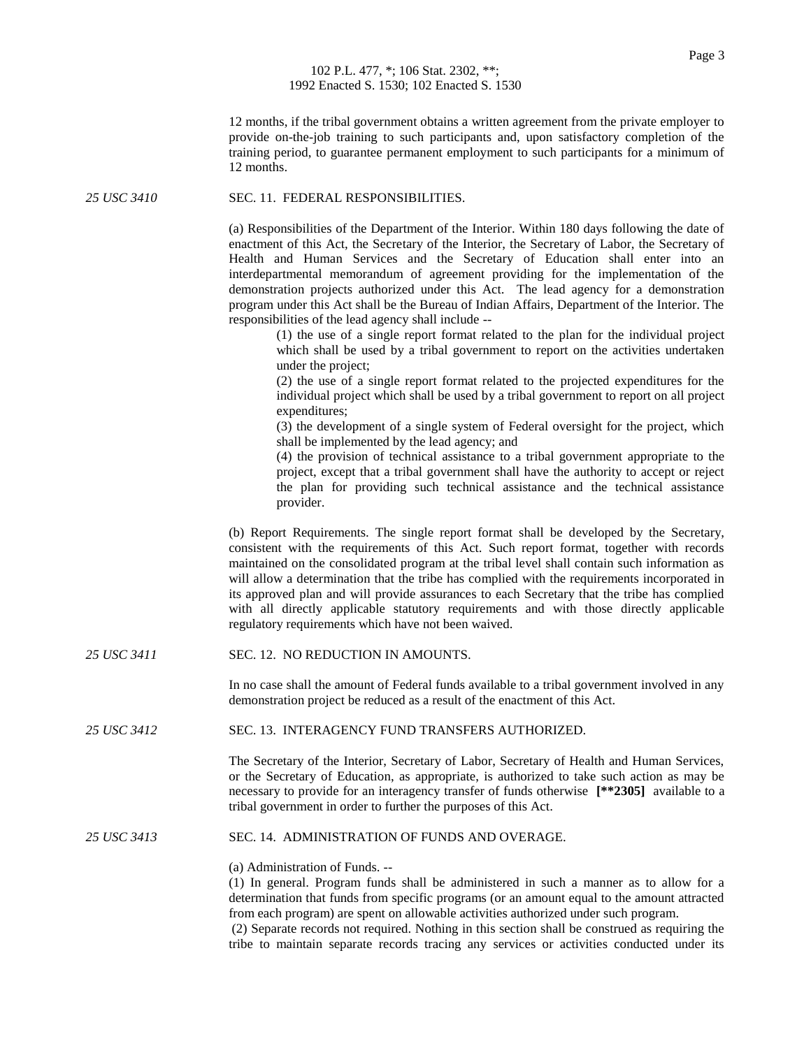#### 102 P.L. 477, \*; 106 Stat. 2302, \*\*; 1992 Enacted S. 1530; 102 Enacted S. 1530

12 months, if the tribal government obtains a written agreement from the private employer to provide on-the-job training to such participants and, upon satisfactory completion of the training period, to guarantee permanent employment to such participants for a minimum of 12 months.

*25 USC 3410* SEC. 11. FEDERAL RESPONSIBILITIES.

(a) Responsibilities of the Department of the Interior. Within 180 days following the date of enactment of this Act, the Secretary of the Interior, the Secretary of Labor, the Secretary of Health and Human Services and the Secretary of Education shall enter into an interdepartmental memorandum of agreement providing for the implementation of the demonstration projects authorized under this Act. The lead agency for a demonstration program under this Act shall be the Bureau of Indian Affairs, Department of the Interior. The responsibilities of the lead agency shall include --

(1) the use of a single report format related to the plan for the individual project which shall be used by a tribal government to report on the activities undertaken under the project;

(2) the use of a single report format related to the projected expenditures for the individual project which shall be used by a tribal government to report on all project expenditures;

(3) the development of a single system of Federal oversight for the project, which shall be implemented by the lead agency; and

(4) the provision of technical assistance to a tribal government appropriate to the project, except that a tribal government shall have the authority to accept or reject the plan for providing such technical assistance and the technical assistance provider.

(b) Report Requirements. The single report format shall be developed by the Secretary, consistent with the requirements of this Act. Such report format, together with records maintained on the consolidated program at the tribal level shall contain such information as will allow a determination that the tribe has complied with the requirements incorporated in its approved plan and will provide assurances to each Secretary that the tribe has complied with all directly applicable statutory requirements and with those directly applicable regulatory requirements which have not been waived.

*25 USC 3411* SEC. 12. NO REDUCTION IN AMOUNTS.

In no case shall the amount of Federal funds available to a tribal government involved in any demonstration project be reduced as a result of the enactment of this Act.

## *25 USC 3412* SEC. 13. INTERAGENCY FUND TRANSFERS AUTHORIZED.

The Secretary of the Interior, Secretary of Labor, Secretary of Health and Human Services, or the Secretary of Education, as appropriate, is authorized to take such action as may be necessary to provide for an interagency transfer of funds otherwise **[\*\*2305]** available to a tribal government in order to further the purposes of this Act.

# *25 USC 3413* SEC. 14. ADMINISTRATION OF FUNDS AND OVERAGE.

#### (a) Administration of Funds. --

(1) In general. Program funds shall be administered in such a manner as to allow for a determination that funds from specific programs (or an amount equal to the amount attracted from each program) are spent on allowable activities authorized under such program.

(2) Separate records not required. Nothing in this section shall be construed as requiring the tribe to maintain separate records tracing any services or activities conducted under its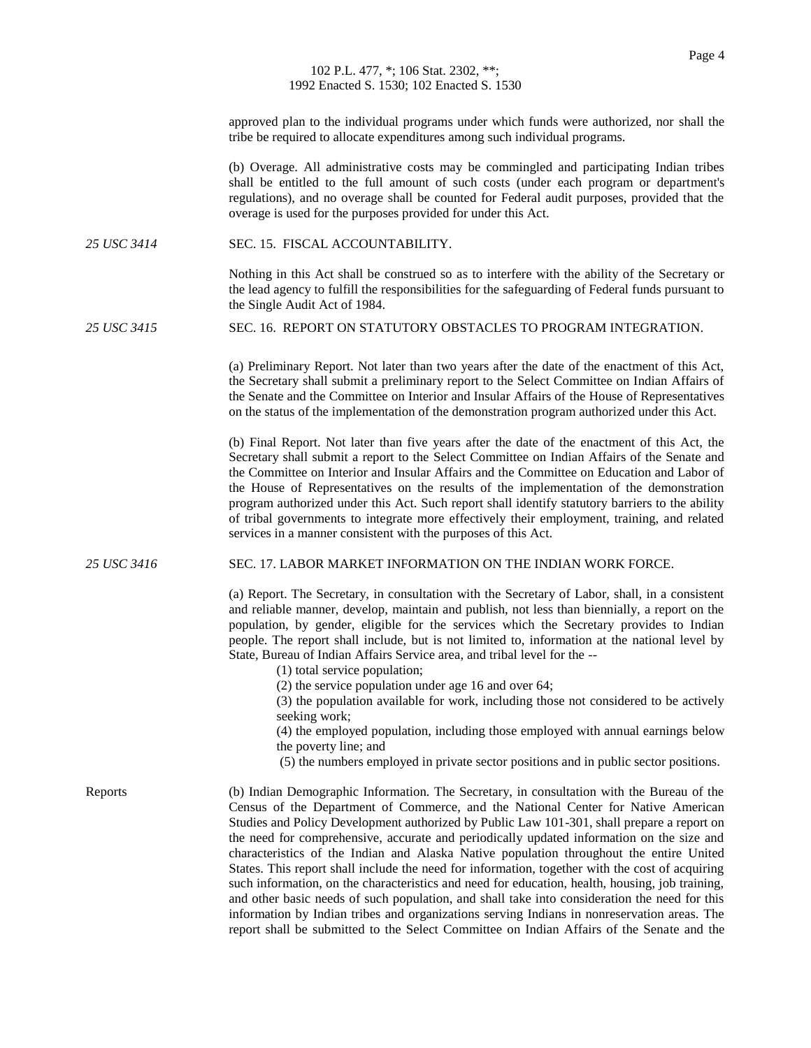102 P.L. 477, \*; 106 Stat. 2302, \*\*; 1992 Enacted S. 1530; 102 Enacted S. 1530

approved plan to the individual programs under which funds were authorized, nor shall the tribe be required to allocate expenditures among such individual programs.

(b) Overage. All administrative costs may be commingled and participating Indian tribes shall be entitled to the full amount of such costs (under each program or department's regulations), and no overage shall be counted for Federal audit purposes, provided that the overage is used for the purposes provided for under this Act.

*25 USC 3414* SEC. 15. FISCAL ACCOUNTABILITY.

Nothing in this Act shall be construed so as to interfere with the ability of the Secretary or the lead agency to fulfill the responsibilities for the safeguarding of Federal funds pursuant to the Single Audit Act of 1984.

25 USC 3415 SEC. 16. REPORT ON STATUTORY OBSTACLES TO PROGRAM INTEGRATION.

(a) Preliminary Report. Not later than two years after the date of the enactment of this Act, the Secretary shall submit a preliminary report to the Select Committee on Indian Affairs of the Senate and the Committee on Interior and Insular Affairs of the House of Representatives on the status of the implementation of the demonstration program authorized under this Act.

(b) Final Report. Not later than five years after the date of the enactment of this Act, the Secretary shall submit a report to the Select Committee on Indian Affairs of the Senate and the Committee on Interior and Insular Affairs and the Committee on Education and Labor of the House of Representatives on the results of the implementation of the demonstration program authorized under this Act. Such report shall identify statutory barriers to the ability of tribal governments to integrate more effectively their employment, training, and related services in a manner consistent with the purposes of this Act.

25 USC 3416 SEC. 17. LABOR MARKET INFORMATION ON THE INDIAN WORK FORCE.

(a) Report. The Secretary, in consultation with the Secretary of Labor, shall, in a consistent and reliable manner, develop, maintain and publish, not less than biennially, a report on the population, by gender, eligible for the services which the Secretary provides to Indian people. The report shall include, but is not limited to, information at the national level by State, Bureau of Indian Affairs Service area, and tribal level for the --

(1) total service population;

(2) the service population under age 16 and over 64;

(3) the population available for work, including those not considered to be actively seeking work;

(4) the employed population, including those employed with annual earnings below the poverty line; and

(5) the numbers employed in private sector positions and in public sector positions.

Reports (b) Indian Demographic Information. The Secretary, in consultation with the Bureau of the Census of the Department of Commerce, and the National Center for Native American Studies and Policy Development authorized by Public Law 101-301, shall prepare a report on the need for comprehensive, accurate and periodically updated information on the size and characteristics of the Indian and Alaska Native population throughout the entire United States. This report shall include the need for information, together with the cost of acquiring such information, on the characteristics and need for education, health, housing, job training, and other basic needs of such population, and shall take into consideration the need for this information by Indian tribes and organizations serving Indians in nonreservation areas. The report shall be submitted to the Select Committee on Indian Affairs of the Senate and the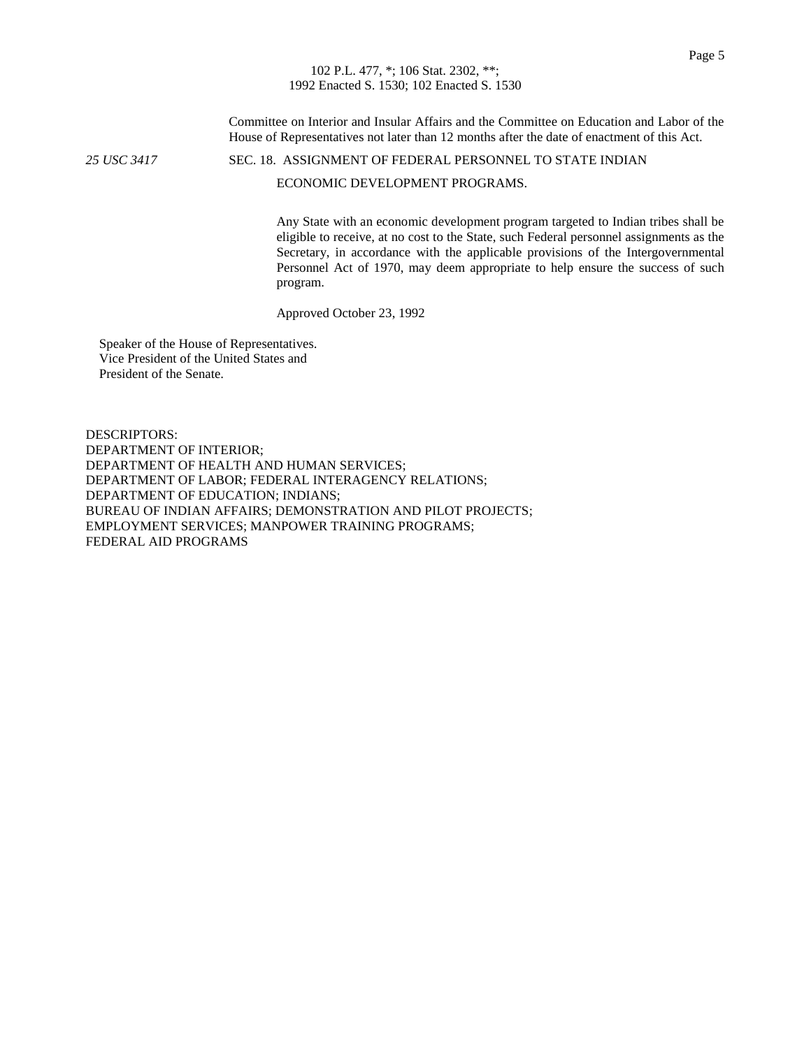## 102 P.L. 477, \*; 106 Stat. 2302, \*\*; 1992 Enacted S. 1530; 102 Enacted S. 1530

Committee on Interior and Insular Affairs and the Committee on Education and Labor of the House of Representatives not later than 12 months after the date of enactment of this Act.

*25 USC 3417* SEC. 18. ASSIGNMENT OF FEDERAL PERSONNEL TO STATE INDIAN ECONOMIC DEVELOPMENT PROGRAMS.

> Any State with an economic development program targeted to Indian tribes shall be eligible to receive, at no cost to the State, such Federal personnel assignments as the Secretary, in accordance with the applicable provisions of the Intergovernmental Personnel Act of 1970, may deem appropriate to help ensure the success of such program.

Approved October 23, 1992

 Speaker of the House of Representatives. Vice President of the United States and President of the Senate.

DESCRIPTORS: DEPARTMENT OF INTERIOR; DEPARTMENT OF HEALTH AND HUMAN SERVICES; DEPARTMENT OF LABOR; FEDERAL INTERAGENCY RELATIONS; DEPARTMENT OF EDUCATION; INDIANS; BUREAU OF INDIAN AFFAIRS; DEMONSTRATION AND PILOT PROJECTS; EMPLOYMENT SERVICES; MANPOWER TRAINING PROGRAMS; FEDERAL AID PROGRAMS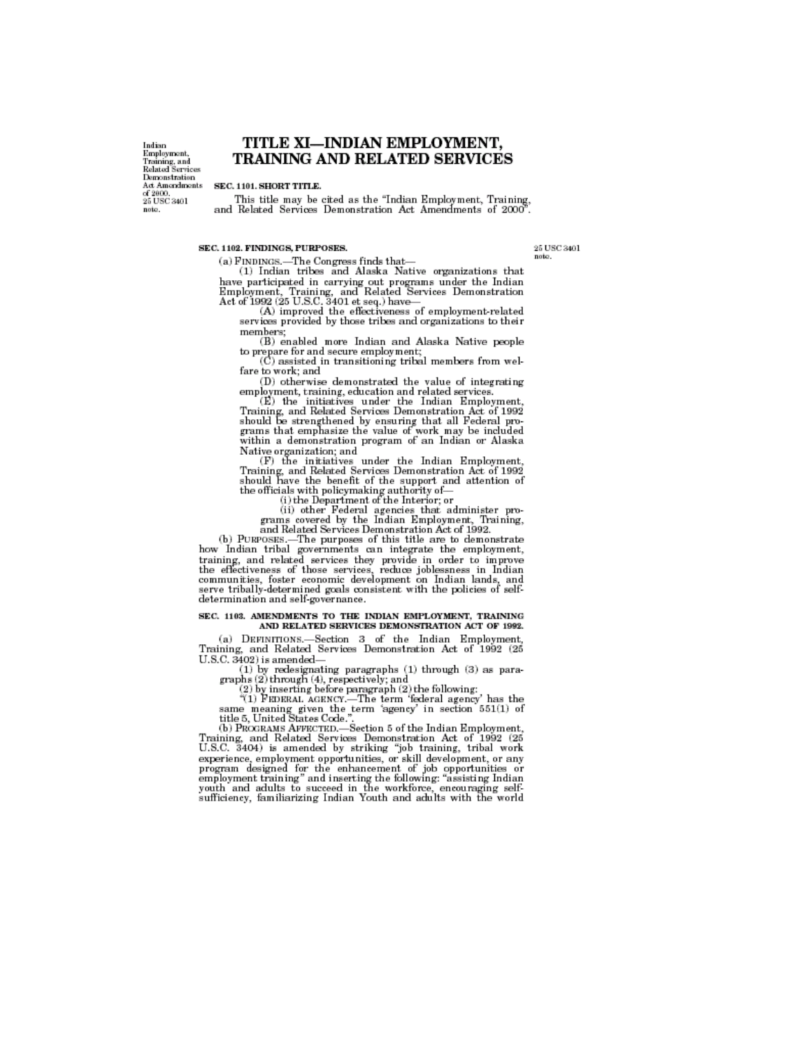Indian<br>Employment,<br>Training, and<br>Related Services Demonstration<br>Act Amendments of 2000.<br>25 USC 3401 note.

## TITLE XI-INDIAN EMPLOYMENT, TRAINING AND RELATED SERVICES

SEC. 1101. SHORT TITLE.

This title may be cited as the "Indian Employment, Training, and Related Services Demonstration Act Amendments of 2000<sup>9</sup>

#### SEC. 1102. FINDINGS, PURPOSES.

25 USC 3401 note.

(a) FINDINGS.—The Congress finds that— $(1)$  Indian tribes and Alaska Native organizations that to the participated in carrying out programs under the Indian<br>Employment, Training, and Related Services Demonstration<br>Act of 1992 (25 U.S.C. 3401 et seq.) have—<br>(A) improved the effectiveness of employment-related

services provided by those tribes and organizations to their members;

(B) enabled more Indian and Alaska Native people<br>to prepare for and secure employment;<br>(C) assisted in transitioning tribal members from wel-

fare to work; and

(D) otherwise demonstrated the value of integrating

( $U$ ) otherwise demonstrated the value of integrating<br>employment, training, education and related services.<br>Training, and Related Services Demonstration Act of 1992<br>should be strengthened by ensuring that all Federal prowithin a demonstration program of an Indian or Alaska Native organization; and

Native organization; and<br>
(F) the initiatives under the Indian Employment,<br>
(F) the initiatives under the Indian Employment,<br>
Training, and Related Services Demonstration Act of 1992<br>
should have the benefit of the support

(b) PURPOSES. The purposes of this title are to demonstrate how Indian tribal governments can integrate the employment, from mining, and related services they provide in order to improve<br>training, and related services they provide in order to improve<br>the effectiveness of those services, reduce joblessness in Indian<br>communities, foster econo determination and self-governance.

#### SEC. 1103. AMENDMENTS TO THE INDIAN EMPLOYMENT, TRAINING AND RELATED SERVICES DEMONSTRATION ACT OF 1992.

(a) DEFINITIONS.—Section  $3$  of the Indian Employment, Training, and Related Services Demonstration Act of 1992  $\,(25$ U.S.C. 3402) is amended-

U.S.C. 3402) is amended—<br>(1) by redesignating paragraphs (1) through (3) as paragraphs (2) through (4), respectively; and<br>(2) by inserting before paragraph (2) the following:<br>"(1) FEDERAL AGENCY.—The term 'federal agency'